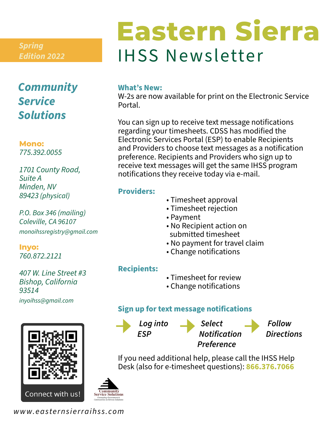*Edition 2022*

### *Community Service Solutions*

**Mono:** *775.392.0055*

*1701 County Road, Suite A Minden, NV 89423 (physical)*

*P.O. Box 346 (mailing) Coleville, CA 96107 monoihssregistry@gmail.com*

**Inyo:** *760.872.2121* 

*407 W. Line Street #3 Bishop, California 93514 inyoihss@gmail.com*



# IHSS Newsletter *Spring* **Eastern Sierra**

#### **What's New:**

W-2s are now available for print on the Electronic Service Portal.

You can sign up to receive text message notifications regarding your timesheets. CDSS has modified the Electronic Services Portal (ESP) to enable Recipients and Providers to choose text messages as a notification preference. Recipients and Providers who sign up to receive text messages will get the same IHSS program notifications they receive today via e-mail.

#### **Providers:**

- Timesheet approval
- Timesheet rejection
- Payment
- No Recipient action on submitted timesheet
- No payment for travel claim
- Change notifications

#### **Recipients:**

- Timesheet for review
- Change notifications

#### **Sign up for text message notifications**



If you need additional help, please call the IHSS Help Desk (also for e-timesheet questions): **866.376.7066**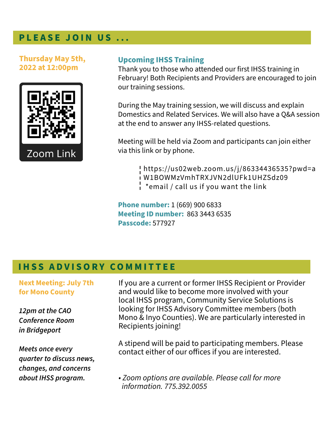#### **PLEASE JOIN US ...**

**Thursday May 5th, 2022 at 12:00pm**



#### **Upcoming IHSS Training**

Thank you to those who attended our first IHSS training in February! Both Recipients and Providers are encouraged to join our training sessions.

During the May training session, we will discuss and explain Domestics and Related Services. We will also have a Q&A session at the end to answer any IHSS-related questions.

Meeting will be held via Zoom and participants can join either via this link or by phone.

> https://us02web.zoom.us/j/86334436535?pwd=a W1BOWMzVmhTRXJVN2dlUFk1UHZSdz09 \*email / call us if you want the link

**Phone number:** 1 (669) 900 6833 **Meeting ID number:** 863 3443 6535 **Passcode:** 577927

#### **IHSS ADVISORY COMMITTEE**

**Next Meeting: July 7th for Mono County**

*12pm at the CAO Conference Room in Bridgeport*

*Meets once every quarter to discuss news, changes, and concerns about IHSS program.* 

If you are a current or former IHSS Recipient or Provider and would like to become more involved with your local IHSS program, Community Service Solutions is looking for IHSS Advisory Committee members (both Mono & Inyo Counties). We are particularly interested in Recipients joining!

A stipend will be paid to participating members. Please contact either of our offices if you are interested.

*• Zoom options are available. Please call for more information. 775.392.0055*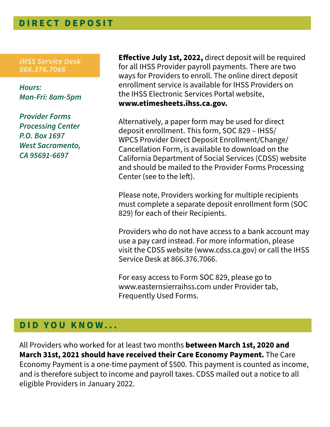#### **DIRECT DEPOSIT**

*IHSS Service Desk 866.376.7066* 

*Hours: Mon-Fri: 8am-5pm*

*Provider Forms Processing Center P.O. Box 1697 West Sacramento, CA 95691-6697*

**Effective July 1st, 2022,** direct deposit will be required for all IHSS Provider payroll payments. There are two ways for Providers to enroll. The online direct deposit enrollment service is available for IHSS Providers on the IHSS Electronic Services Portal website, **www.etimesheets.ihss.ca.gov.**

Alternatively, a paper form may be used for direct deposit enrollment. This form, SOC 829 – IHSS/ WPCS Provider Direct Deposit Enrollment/Change/ Cancellation Form, is available to download on the California Department of Social Services (CDSS) website and should be mailed to the Provider Forms Processing Center (see to the left).

Please note, Providers working for multiple recipients must complete a separate deposit enrollment form (SOC 829) for each of their Recipients.

Providers who do not have access to a bank account may use a pay card instead. For more information, please visit the CDSS website (www.cdss.ca.gov) or call the IHSS Service Desk at 866.376.7066.

For easy access to Form SOC 829, please go to www.easternsierraihss.com under Provider tab, Frequently Used Forms.

#### **DID YOU KNOW...**

All Providers who worked for at least two months **between March 1st, 2020 and March 31st, 2021 should have received their Care Economy Payment.** The Care Economy Payment is a one-time payment of \$500. This payment is counted as income, and is therefore subject to income and payroll taxes. CDSS mailed out a notice to all eligible Providers in January 2022.